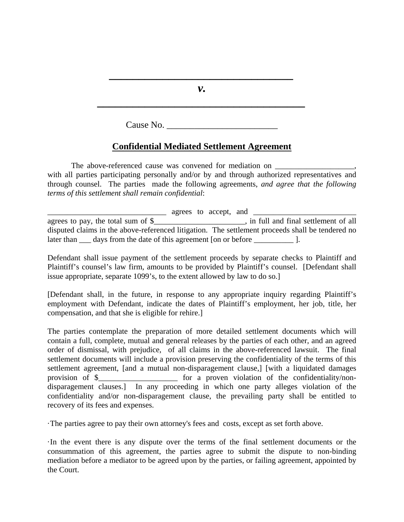*v.* 

*\_\_\_\_\_\_\_\_\_\_\_\_\_\_\_\_\_\_\_\_\_\_\_\_\_\_\_\_\_\_\_\_\_\_\_*

*\_\_\_\_\_\_\_\_\_\_\_\_\_\_\_\_\_\_\_\_\_\_\_\_\_\_\_\_\_\_\_* 

Cause No.

## **Confidential Mediated Settlement Agreement**

The above-referenced cause was convened for mediation on \_\_\_\_\_\_\_\_\_\_\_\_\_\_\_\_\_\_\_\_\_\_\_ with all parties participating personally and/or by and through authorized representatives and through counsel. The parties made the following agreements, *and agree that the following terms of this settlement shall remain confidential*:

 $\text{agrees to accept, and } \underline{\hspace{1.5cm}}$ agrees to pay, the total sum of \$\_\_\_\_\_\_\_\_\_\_\_\_\_\_\_\_\_\_\_\_\_\_, in full and final settlement of all disputed claims in the above-referenced litigation. The settlement proceeds shall be tendered no later than \_\_\_\_ days from the date of this agreement [on or before \_\_\_\_\_\_\_\_\_\_\_\_\_ ].

Defendant shall issue payment of the settlement proceeds by separate checks to Plaintiff and Plaintiff's counsel's law firm, amounts to be provided by Plaintiff's counsel. [Defendant shall issue appropriate, separate 1099's, to the extent allowed by law to do so.]

[Defendant shall, in the future, in response to any appropriate inquiry regarding Plaintiff's employment with Defendant, indicate the dates of Plaintiff's employment, her job, title, her compensation, and that she is eligible for rehire.]

The parties contemplate the preparation of more detailed settlement documents which will contain a full, complete, mutual and general releases by the parties of each other, and an agreed order of dismissal, with prejudice, of all claims in the above-referenced lawsuit. The final settlement documents will include a provision preserving the confidentiality of the terms of this settlement agreement, [and a mutual non-disparagement clause,] [with a liquidated damages provision of \$\_\_\_\_\_\_\_\_\_\_\_\_\_\_\_\_\_\_\_\_ for a proven violation of the confidentiality/nondisparagement clauses.] In any proceeding in which one party alleges violation of the confidentiality and/or non-disparagement clause, the prevailing party shall be entitled to recovery of its fees and expenses.

·The parties agree to pay their own attorney's fees and costs, except as set forth above.

·In the event there is any dispute over the terms of the final settlement documents or the consummation of this agreement, the parties agree to submit the dispute to non-binding mediation before a mediator to be agreed upon by the parties, or failing agreement, appointed by the Court.